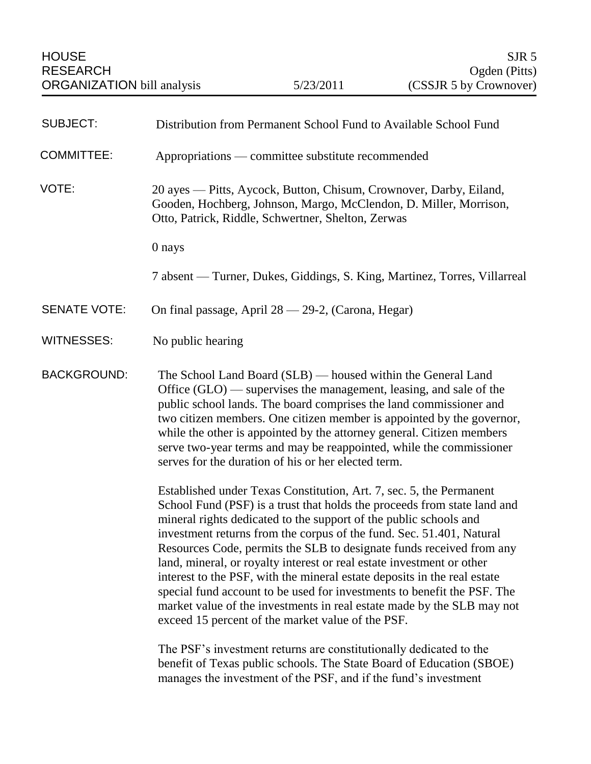| <b>SUBJECT:</b>     | Distribution from Permanent School Fund to Available School Fund                                                                                                                                                                                                                                                                                                                                                                                                                                                                                                                                                                                                                                                                    |
|---------------------|-------------------------------------------------------------------------------------------------------------------------------------------------------------------------------------------------------------------------------------------------------------------------------------------------------------------------------------------------------------------------------------------------------------------------------------------------------------------------------------------------------------------------------------------------------------------------------------------------------------------------------------------------------------------------------------------------------------------------------------|
| <b>COMMITTEE:</b>   | Appropriations — committee substitute recommended                                                                                                                                                                                                                                                                                                                                                                                                                                                                                                                                                                                                                                                                                   |
| VOTE:               | 20 ayes — Pitts, Aycock, Button, Chisum, Crownover, Darby, Eiland,<br>Gooden, Hochberg, Johnson, Margo, McClendon, D. Miller, Morrison,<br>Otto, Patrick, Riddle, Schwertner, Shelton, Zerwas                                                                                                                                                                                                                                                                                                                                                                                                                                                                                                                                       |
|                     | 0 nays                                                                                                                                                                                                                                                                                                                                                                                                                                                                                                                                                                                                                                                                                                                              |
|                     | 7 absent — Turner, Dukes, Giddings, S. King, Martinez, Torres, Villarreal                                                                                                                                                                                                                                                                                                                                                                                                                                                                                                                                                                                                                                                           |
| <b>SENATE VOTE:</b> | On final passage, April 28 - 29-2, (Carona, Hegar)                                                                                                                                                                                                                                                                                                                                                                                                                                                                                                                                                                                                                                                                                  |
| WITNESSES:          | No public hearing                                                                                                                                                                                                                                                                                                                                                                                                                                                                                                                                                                                                                                                                                                                   |
| <b>BACKGROUND:</b>  | The School Land Board (SLB) — housed within the General Land<br>Office $(GLO)$ — supervises the management, leasing, and sale of the<br>public school lands. The board comprises the land commissioner and<br>two citizen members. One citizen member is appointed by the governor,<br>while the other is appointed by the attorney general. Citizen members<br>serve two-year terms and may be reappointed, while the commissioner<br>serves for the duration of his or her elected term.                                                                                                                                                                                                                                          |
|                     | Established under Texas Constitution, Art. 7, sec. 5, the Permanent<br>School Fund (PSF) is a trust that holds the proceeds from state land and<br>mineral rights dedicated to the support of the public schools and<br>investment returns from the corpus of the fund. Sec. 51.401, Natural<br>Resources Code, permits the SLB to designate funds received from any<br>land, mineral, or royalty interest or real estate investment or other<br>interest to the PSF, with the mineral estate deposits in the real estate<br>special fund account to be used for investments to benefit the PSF. The<br>market value of the investments in real estate made by the SLB may not<br>exceed 15 percent of the market value of the PSF. |
|                     | The PSF's investment returns are constitutionally dedicated to the<br>benefit of Texas public schools. The State Board of Education (SBOE)<br>manages the investment of the PSF, and if the fund's investment                                                                                                                                                                                                                                                                                                                                                                                                                                                                                                                       |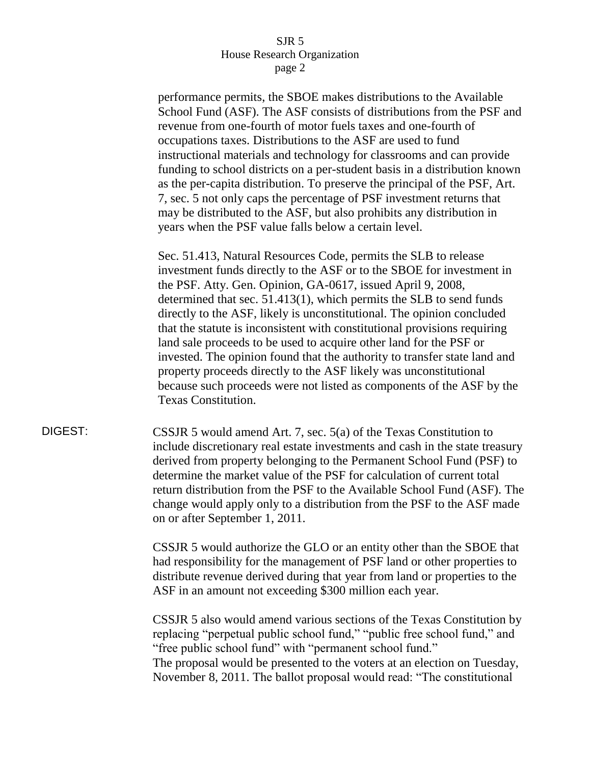performance permits, the SBOE makes distributions to the Available School Fund (ASF). The ASF consists of distributions from the PSF and revenue from one-fourth of motor fuels taxes and one-fourth of occupations taxes. Distributions to the ASF are used to fund instructional materials and technology for classrooms and can provide funding to school districts on a per-student basis in a distribution known as the per-capita distribution. To preserve the principal of the PSF, Art. 7, sec. 5 not only caps the percentage of PSF investment returns that may be distributed to the ASF, but also prohibits any distribution in years when the PSF value falls below a certain level.

Sec. 51.413, Natural Resources Code, permits the SLB to release investment funds directly to the ASF or to the SBOE for investment in the PSF. Atty. Gen. Opinion, GA-0617, issued April 9, 2008, determined that sec. 51.413(1), which permits the SLB to send funds directly to the ASF, likely is unconstitutional. The opinion concluded that the statute is inconsistent with constitutional provisions requiring land sale proceeds to be used to acquire other land for the PSF or invested. The opinion found that the authority to transfer state land and property proceeds directly to the ASF likely was unconstitutional because such proceeds were not listed as components of the ASF by the Texas Constitution.

DIGEST: CSSJR 5 would amend Art. 7, sec. 5(a) of the Texas Constitution to include discretionary real estate investments and cash in the state treasury derived from property belonging to the Permanent School Fund (PSF) to determine the market value of the PSF for calculation of current total return distribution from the PSF to the Available School Fund (ASF). The change would apply only to a distribution from the PSF to the ASF made on or after September 1, 2011.

> CSSJR 5 would authorize the GLO or an entity other than the SBOE that had responsibility for the management of PSF land or other properties to distribute revenue derived during that year from land or properties to the ASF in an amount not exceeding \$300 million each year.

> CSSJR 5 also would amend various sections of the Texas Constitution by replacing "perpetual public school fund," "public free school fund," and "free public school fund" with "permanent school fund." The proposal would be presented to the voters at an election on Tuesday, November 8, 2011. The ballot proposal would read: "The constitutional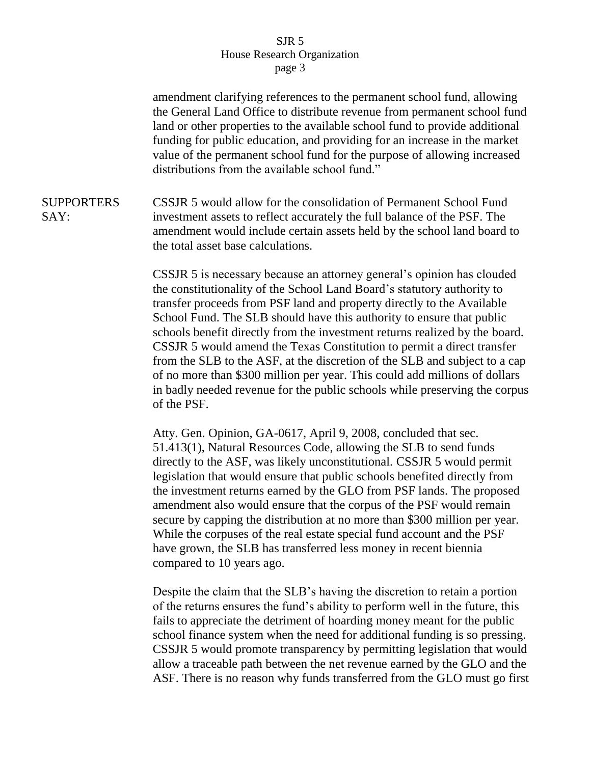amendment clarifying references to the permanent school fund, allowing the General Land Office to distribute revenue from permanent school fund land or other properties to the available school fund to provide additional funding for public education, and providing for an increase in the market value of the permanent school fund for the purpose of allowing increased distributions from the available school fund." SUPPORTERS SAY: CSSJR 5 would allow for the consolidation of Permanent School Fund investment assets to reflect accurately the full balance of the PSF. The amendment would include certain assets held by the school land board to the total asset base calculations. CSSJR 5 is necessary because an attorney general's opinion has clouded the constitutionality of the School Land Board's statutory authority to transfer proceeds from PSF land and property directly to the Available School Fund. The SLB should have this authority to ensure that public schools benefit directly from the investment returns realized by the board. CSSJR 5 would amend the Texas Constitution to permit a direct transfer from the SLB to the ASF, at the discretion of the SLB and subject to a cap of no more than \$300 million per year. This could add millions of dollars in badly needed revenue for the public schools while preserving the corpus of the PSF. Atty. Gen. Opinion, GA-0617, April 9, 2008, concluded that sec. 51.413(1), Natural Resources Code, allowing the SLB to send funds directly to the ASF, was likely unconstitutional. CSSJR 5 would permit legislation that would ensure that public schools benefited directly from the investment returns earned by the GLO from PSF lands. The proposed amendment also would ensure that the corpus of the PSF would remain secure by capping the distribution at no more than \$300 million per year. While the corpuses of the real estate special fund account and the PSF have grown, the SLB has transferred less money in recent biennia compared to 10 years ago. Despite the claim that the SLB's having the discretion to retain a portion of the returns ensures the fund's ability to perform well in the future, this fails to appreciate the detriment of hoarding money meant for the public school finance system when the need for additional funding is so pressing.

> CSSJR 5 would promote transparency by permitting legislation that would allow a traceable path between the net revenue earned by the GLO and the ASF. There is no reason why funds transferred from the GLO must go first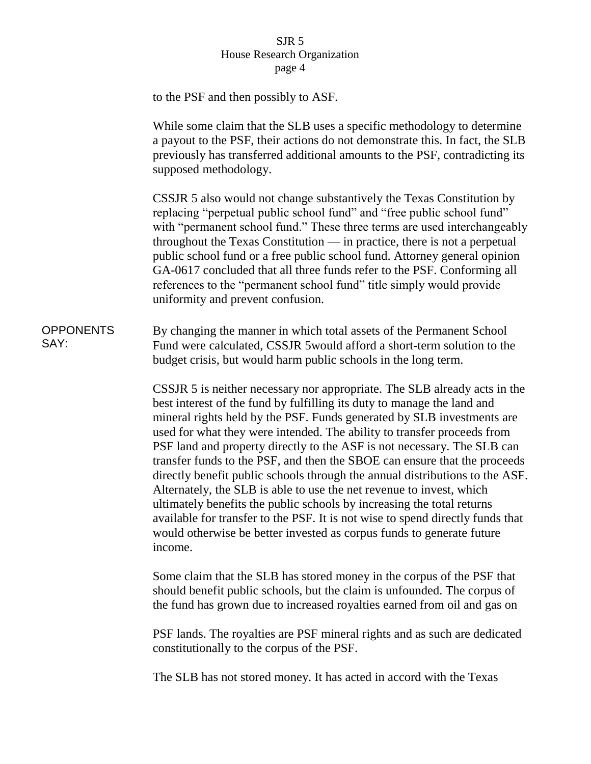|                          | to the PSF and then possibly to ASF.                                                                                                                                                                                                                                                                                                                                                                                                                                                                                                                                                                                                                                                                                                                                                                                                                                      |
|--------------------------|---------------------------------------------------------------------------------------------------------------------------------------------------------------------------------------------------------------------------------------------------------------------------------------------------------------------------------------------------------------------------------------------------------------------------------------------------------------------------------------------------------------------------------------------------------------------------------------------------------------------------------------------------------------------------------------------------------------------------------------------------------------------------------------------------------------------------------------------------------------------------|
|                          | While some claim that the SLB uses a specific methodology to determine<br>a payout to the PSF, their actions do not demonstrate this. In fact, the SLB<br>previously has transferred additional amounts to the PSF, contradicting its<br>supposed methodology.                                                                                                                                                                                                                                                                                                                                                                                                                                                                                                                                                                                                            |
|                          | CSSJR 5 also would not change substantively the Texas Constitution by<br>replacing "perpetual public school fund" and "free public school fund"<br>with "permanent school fund." These three terms are used interchangeably<br>throughout the Texas Constitution — in practice, there is not a perpetual<br>public school fund or a free public school fund. Attorney general opinion<br>GA-0617 concluded that all three funds refer to the PSF. Conforming all<br>references to the "permanent school fund" title simply would provide<br>uniformity and prevent confusion.                                                                                                                                                                                                                                                                                             |
| <b>OPPONENTS</b><br>SAY: | By changing the manner in which total assets of the Permanent School<br>Fund were calculated, CSSJR 5 would afford a short-term solution to the<br>budget crisis, but would harm public schools in the long term.                                                                                                                                                                                                                                                                                                                                                                                                                                                                                                                                                                                                                                                         |
|                          | CSSJR 5 is neither necessary nor appropriate. The SLB already acts in the<br>best interest of the fund by fulfilling its duty to manage the land and<br>mineral rights held by the PSF. Funds generated by SLB investments are<br>used for what they were intended. The ability to transfer proceeds from<br>PSF land and property directly to the ASF is not necessary. The SLB can<br>transfer funds to the PSF, and then the SBOE can ensure that the proceeds<br>directly benefit public schools through the annual distributions to the ASF.<br>Alternately, the SLB is able to use the net revenue to invest, which<br>ultimately benefits the public schools by increasing the total returns<br>available for transfer to the PSF. It is not wise to spend directly funds that<br>would otherwise be better invested as corpus funds to generate future<br>income. |
|                          | Some claim that the SLB has stored money in the corpus of the PSF that<br>should benefit public schools, but the claim is unfounded. The corpus of<br>the fund has grown due to increased royalties earned from oil and gas on                                                                                                                                                                                                                                                                                                                                                                                                                                                                                                                                                                                                                                            |
|                          | PSF lands. The royalties are PSF mineral rights and as such are dedicated<br>constitutionally to the corpus of the PSF.                                                                                                                                                                                                                                                                                                                                                                                                                                                                                                                                                                                                                                                                                                                                                   |

The SLB has not stored money. It has acted in accord with the Texas